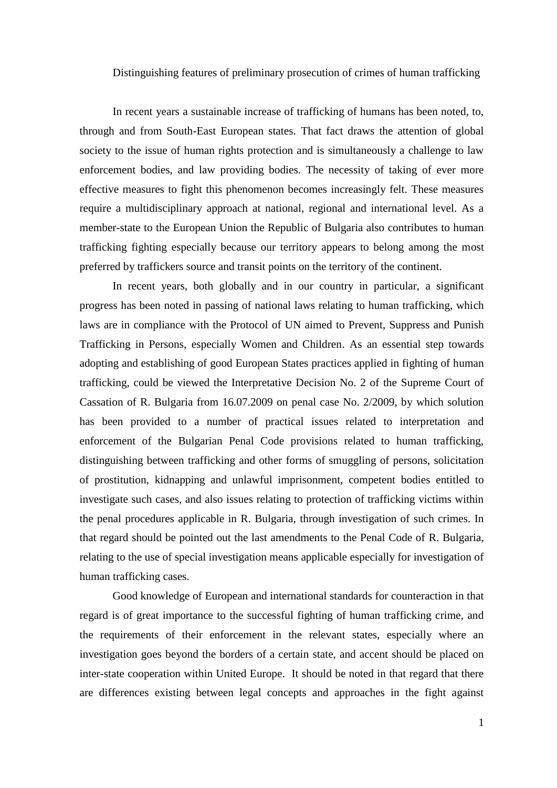## Distinguishing features of preliminary prosecution of crimes of human trafficking

In recent years a sustainable increase of trafficking of humans has been noted, to, through and from South-East European states. That fact draws the attention of global society to the issue of human rights protection and is simultaneously a challenge to law enforcement bodies, and law providing bodies. The necessity of taking of ever more effective measures to fight this phenomenon becomes increasingly felt. These measures require a multidisciplinary approach at national, regional and international level. As a member-state to the European Union the Republic of Bulgaria also contributes to human trafficking fighting especially because our territory appears to belong among the most preferred by traffickers source and transit points on the territory of the continent.

In recent years, both globally and in our country in particular, a significant progress has been noted in passing of national laws relating to human trafficking, which laws are in compliance with the Protocol of UN aimed to Prevent, Suppress and Punish Trafficking in Persons, especially Women and Children. As an essential step towards adopting and establishing of good European States practices applied in fighting of human trafficking, could be viewed the Interpretative Decision No. 2 of the Supreme Court of Cassation of R. Bulgaria from 16.07.2009 on penal case No. 2/2009, by which solution has been provided to a number of practical issues related to interpretation and enforcement of the Bulgarian Penal Code provisions related to human trafficking, distinguishing between trafficking and other forms of smuggling of persons, solicitation of prostitution, kidnapping and unlawful imprisonment, competent bodies entitled to investigate such cases, and also issues relating to protection of trafficking victims within the penal procedures applicable in R. Bulgaria, through investigation of such crimes. In that regard should be pointed out the last amendments to the Penal Code of R. Bulgaria, relating to the use of special investigation means applicable especially for investigation of human trafficking cases.

Good knowledge of European and international standards for counteraction in that regard is of great importance to the successful fighting of human trafficking crime, and the requirements of their enforcement in the relevant states, especially where an investigation goes beyond the borders of a certain state, and accent should be placed on inter-state cooperation within United Europe. It should be noted in that regard that there are differences existing between legal concepts and approaches in the fight against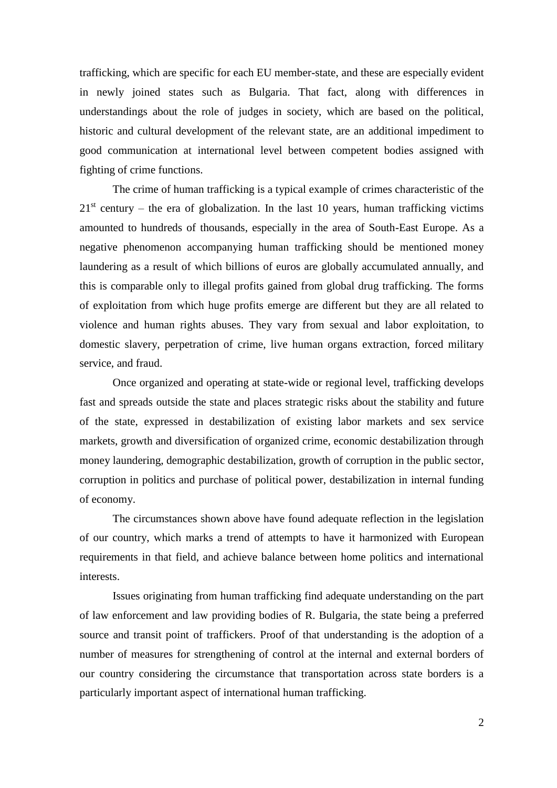trafficking, which are specific for each EU member-state, and these are especially evident in newly joined states such as Bulgaria. That fact, along with differences in understandings about the role of judges in society, which are based on the political, historic and cultural development of the relevant state, are an additional impediment to good communication at international level between competent bodies assigned with fighting of crime functions.

The crime of human trafficking is a typical example of crimes characteristic of the  $21<sup>st</sup>$  century – the era of globalization. In the last 10 years, human trafficking victims amounted to hundreds of thousands, especially in the area of South-East Europe. As a negative phenomenon accompanying human trafficking should be mentioned money laundering as a result of which billions of euros are globally accumulated annually, and this is comparable only to illegal profits gained from global drug trafficking. The forms of exploitation from which huge profits emerge are different but they are all related to violence and human rights abuses. They vary from sexual and labor exploitation, to domestic slavery, perpetration of crime, live human organs extraction, forced military service, and fraud.

Once organized and operating at state-wide or regional level, trafficking develops fast and spreads outside the state and places strategic risks about the stability and future of the state, expressed in destabilization of existing labor markets and sex service markets, growth and diversification of organized crime, economic destabilization through money laundering, demographic destabilization, growth of corruption in the public sector, corruption in politics and purchase of political power, destabilization in internal funding of economy.

The circumstances shown above have found adequate reflection in the legislation of our country, which marks a trend of attempts to have it harmonized with European requirements in that field, and achieve balance between home politics and international interests.

Issues originating from human trafficking find adequate understanding on the part of law enforcement and law providing bodies of R. Bulgaria, the state being a preferred source and transit point of traffickers. Proof of that understanding is the adoption of a number of measures for strengthening of control at the internal and external borders of our country considering the circumstance that transportation across state borders is a particularly important aspect of international human trafficking.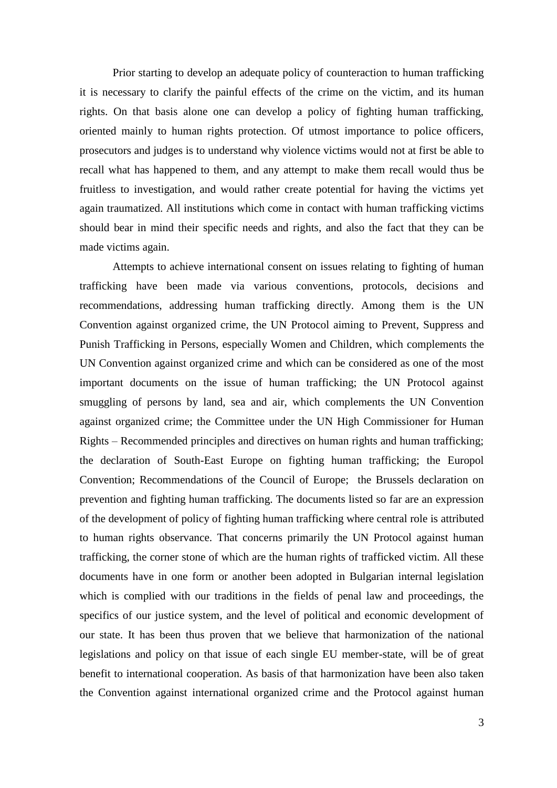Prior starting to develop an adequate policy of counteraction to human trafficking it is necessary to clarify the painful effects of the crime on the victim, and its human rights. On that basis alone one can develop a policy of fighting human trafficking, oriented mainly to human rights protection. Of utmost importance to police officers, prosecutors and judges is to understand why violence victims would not at first be able to recall what has happened to them, and any attempt to make them recall would thus be fruitless to investigation, and would rather create potential for having the victims yet again traumatized. All institutions which come in contact with human trafficking victims should bear in mind their specific needs and rights, and also the fact that they can be made victims again.

Attempts to achieve international consent on issues relating to fighting of human trafficking have been made via various conventions, protocols, decisions and recommendations, addressing human trafficking directly. Among them is the UN Convention against organized crime, the UN Protocol aiming to Prevent, Suppress and Punish Trafficking in Persons, especially Women and Children, which complements the UN Convention against organized crime and which can be considered as one of the most important documents on the issue of human trafficking; the UN Protocol against smuggling of persons by land, sea and air, which complements the UN Convention against organized crime; the Committee under the UN High Commissioner for Human Rights – Recommended principles and directives on human rights and human trafficking; the declaration of South-East Europe on fighting human trafficking; the Europol Convention; Recommendations of the Council of Europe; the Brussels declaration on prevention and fighting human trafficking. The documents listed so far are an expression of the development of policy of fighting human trafficking where central role is attributed to human rights observance. That concerns primarily the UN Protocol against human trafficking, the corner stone of which are the human rights of trafficked victim. All these documents have in one form or another been adopted in Bulgarian internal legislation which is complied with our traditions in the fields of penal law and proceedings, the specifics of our justice system, and the level of political and economic development of our state. It has been thus proven that we believe that harmonization of the national legislations and policy on that issue of each single EU member-state, will be of great benefit to international cooperation. As basis of that harmonization have been also taken the Convention against international organized crime and the Protocol against human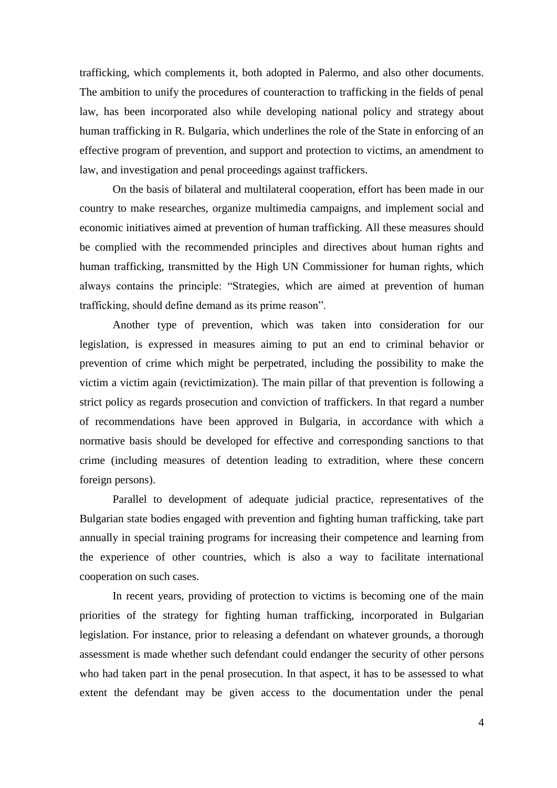trafficking, which complements it, both adopted in Palermo, and also other documents. The ambition to unify the procedures of counteraction to trafficking in the fields of penal law, has been incorporated also while developing national policy and strategy about human trafficking in R. Bulgaria, which underlines the role of the State in enforcing of an effective program of prevention, and support and protection to victims, an amendment to law, and investigation and penal proceedings against traffickers.

On the basis of bilateral and multilateral cooperation, effort has been made in our country to make researches, organize multimedia campaigns, and implement social and economic initiatives aimed at prevention of human trafficking. All these measures should be complied with the recommended principles and directives about human rights and human trafficking, transmitted by the High UN Commissioner for human rights, which always contains the principle: "Strategies, which are aimed at prevention of human trafficking, should define demand as its prime reason".

Another type of prevention, which was taken into consideration for our legislation, is expressed in measures aiming to put an end to criminal behavior or prevention of crime which might be perpetrated, including the possibility to make the victim a victim again (revictimization). The main pillar of that prevention is following a strict policy as regards prosecution and conviction of traffickers. In that regard a number of recommendations have been approved in Bulgaria, in accordance with which a normative basis should be developed for effective and corresponding sanctions to that crime (including measures of detention leading to extradition, where these concern foreign persons).

Parallel to development of adequate judicial practice, representatives of the Bulgarian state bodies engaged with prevention and fighting human trafficking, take part annually in special training programs for increasing their competence and learning from the experience of other countries, which is also a way to facilitate international cooperation on such cases.

In recent years, providing of protection to victims is becoming one of the main priorities of the strategy for fighting human trafficking, incorporated in Bulgarian legislation. For instance, prior to releasing a defendant on whatever grounds, a thorough assessment is made whether such defendant could endanger the security of other persons who had taken part in the penal prosecution. In that aspect, it has to be assessed to what extent the defendant may be given access to the documentation under the penal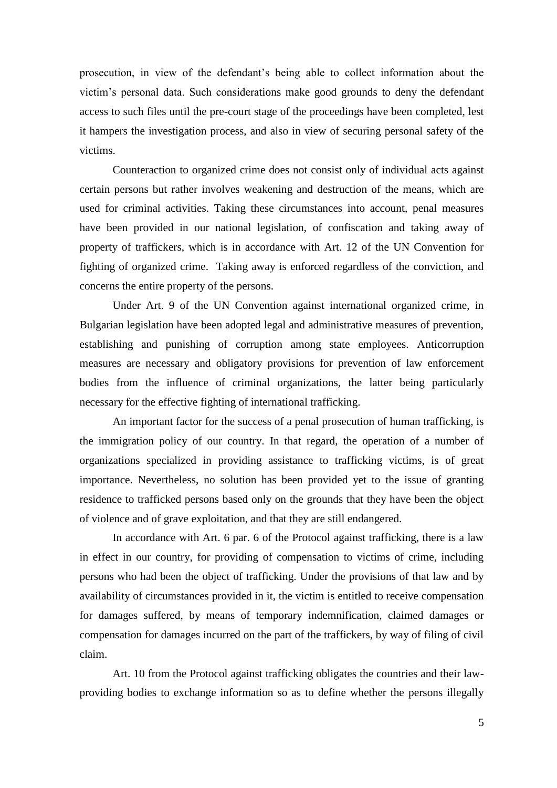prosecution, in view of the defendant"s being able to collect information about the victim"s personal data. Such considerations make good grounds to deny the defendant access to such files until the pre-court stage of the proceedings have been completed, lest it hampers the investigation process, and also in view of securing personal safety of the victims.

Counteraction to organized crime does not consist only of individual acts against certain persons but rather involves weakening and destruction of the means, which are used for criminal activities. Taking these circumstances into account, penal measures have been provided in our national legislation, of confiscation and taking away of property of traffickers, which is in accordance with Art. 12 of the UN Convention for fighting of organized crime. Taking away is enforced regardless of the conviction, and concerns the entire property of the persons.

Under Art. 9 of the UN Convention against international organized crime, in Bulgarian legislation have been adopted legal and administrative measures of prevention, establishing and punishing of corruption among state employees. Anticorruption measures are necessary and obligatory provisions for prevention of law enforcement bodies from the influence of criminal organizations, the latter being particularly necessary for the effective fighting of international trafficking.

An important factor for the success of a penal prosecution of human trafficking, is the immigration policy of our country. In that regard, the operation of a number of organizations specialized in providing assistance to trafficking victims, is of great importance. Nevertheless, no solution has been provided yet to the issue of granting residence to trafficked persons based only on the grounds that they have been the object of violence and of grave exploitation, and that they are still endangered.

In accordance with Art. 6 par. 6 of the Protocol against trafficking, there is a law in effect in our country, for providing of compensation to victims of crime, including persons who had been the object of trafficking. Under the provisions of that law and by availability of circumstances provided in it, the victim is entitled to receive compensation for damages suffered, by means of temporary indemnification, claimed damages or compensation for damages incurred on the part of the traffickers, by way of filing of civil claim.

Art. 10 from the Protocol against trafficking obligates the countries and their lawproviding bodies to exchange information so as to define whether the persons illegally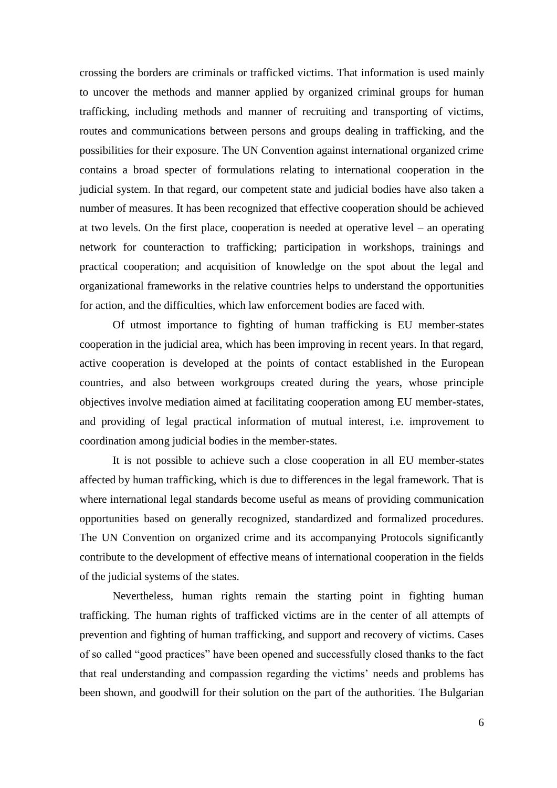crossing the borders are criminals or trafficked victims. That information is used mainly to uncover the methods and manner applied by organized criminal groups for human trafficking, including methods and manner of recruiting and transporting of victims, routes and communications between persons and groups dealing in trafficking, and the possibilities for their exposure. The UN Convention against international organized crime contains a broad specter of formulations relating to international cooperation in the judicial system. In that regard, our competent state and judicial bodies have also taken a number of measures. It has been recognized that effective cooperation should be achieved at two levels. On the first place, cooperation is needed at operative level – an operating network for counteraction to trafficking; participation in workshops, trainings and practical cooperation; and acquisition of knowledge on the spot about the legal and organizational frameworks in the relative countries helps to understand the opportunities for action, and the difficulties, which law enforcement bodies are faced with.

Of utmost importance to fighting of human trafficking is EU member-states cooperation in the judicial area, which has been improving in recent years. In that regard, active cooperation is developed at the points of contact established in the European countries, and also between workgroups created during the years, whose principle objectives involve mediation aimed at facilitating cooperation among EU member-states, and providing of legal practical information of mutual interest, i.e. improvement to coordination among judicial bodies in the member-states.

It is not possible to achieve such a close cooperation in all EU member-states affected by human trafficking, which is due to differences in the legal framework. That is where international legal standards become useful as means of providing communication opportunities based on generally recognized, standardized and formalized procedures. The UN Convention on organized crime and its accompanying Protocols significantly contribute to the development of effective means of international cooperation in the fields of the judicial systems of the states.

Nevertheless, human rights remain the starting point in fighting human trafficking. The human rights of trafficked victims are in the center of all attempts of prevention and fighting of human trafficking, and support and recovery of victims. Cases of so called "good practices" have been opened and successfully closed thanks to the fact that real understanding and compassion regarding the victims" needs and problems has been shown, and goodwill for their solution on the part of the authorities. The Bulgarian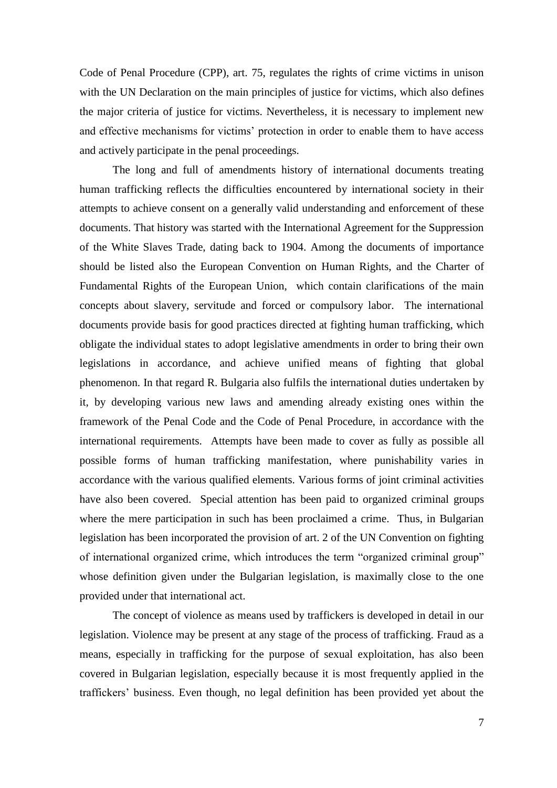Code of Penal Procedure (CPP), art. 75, regulates the rights of crime victims in unison with the UN Declaration on the main principles of justice for victims, which also defines the major criteria of justice for victims. Nevertheless, it is necessary to implement new and effective mechanisms for victims' protection in order to enable them to have access and actively participate in the penal proceedings.

The long and full of amendments history of international documents treating human trafficking reflects the difficulties encountered by international society in their attempts to achieve consent on a generally valid understanding and enforcement of these documents. That history was started with the International Agreement for the Suppression of the White Slaves Trade, dating back to 1904. Among the documents of importance should be listed also the European Convention on Human Rights, and the Charter of Fundamental Rights of the European Union, which contain clarifications of the main concepts about slavery, servitude and forced or compulsory labor. The international documents provide basis for good practices directed at fighting human trafficking, which obligate the individual states to adopt legislative amendments in order to bring their own legislations in accordance, and achieve unified means of fighting that global phenomenon. In that regard R. Bulgaria also fulfils the international duties undertaken by it, by developing various new laws and amending already existing ones within the framework of the Penal Code and the Code of Penal Procedure, in accordance with the international requirements. Attempts have been made to cover as fully as possible all possible forms of human trafficking manifestation, where punishability varies in accordance with the various qualified elements. Various forms of joint criminal activities have also been covered. Special attention has been paid to organized criminal groups where the mere participation in such has been proclaimed a crime. Thus, in Bulgarian legislation has been incorporated the provision of art. 2 of the UN Convention on fighting of international organized crime, which introduces the term "organized criminal group" whose definition given under the Bulgarian legislation, is maximally close to the one provided under that international act.

The concept of violence as means used by traffickers is developed in detail in our legislation. Violence may be present at any stage of the process of trafficking. Fraud as a means, especially in trafficking for the purpose of sexual exploitation, has also been covered in Bulgarian legislation, especially because it is most frequently applied in the traffickers" business. Even though, no legal definition has been provided yet about the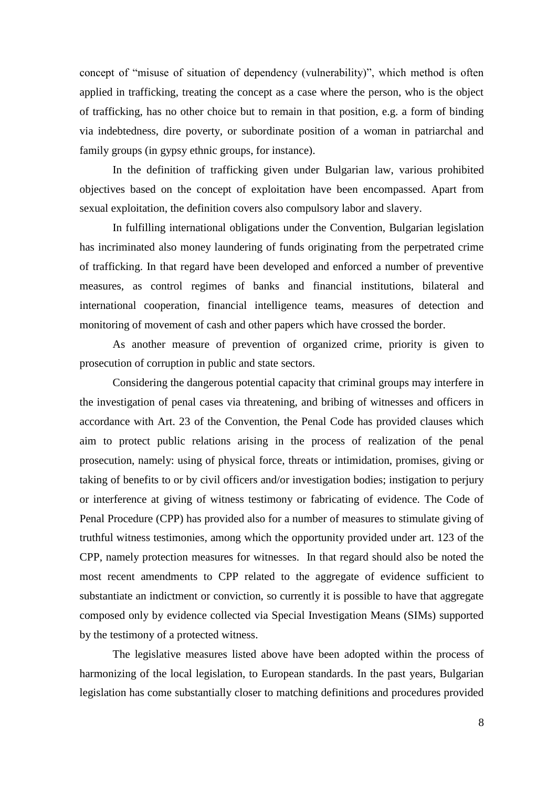concept of "misuse of situation of dependency (vulnerability)", which method is often applied in trafficking, treating the concept as a case where the person, who is the object of trafficking, has no other choice but to remain in that position, e.g. a form of binding via indebtedness, dire poverty, or subordinate position of a woman in patriarchal and family groups (in gypsy ethnic groups, for instance).

In the definition of trafficking given under Bulgarian law, various prohibited objectives based on the concept of exploitation have been encompassed. Apart from sexual exploitation, the definition covers also compulsory labor and slavery.

In fulfilling international obligations under the Convention, Bulgarian legislation has incriminated also money laundering of funds originating from the perpetrated crime of trafficking. In that regard have been developed and enforced a number of preventive measures, as control regimes of banks and financial institutions, bilateral and international cooperation, financial intelligence teams, measures of detection and monitoring of movement of cash and other papers which have crossed the border.

As another measure of prevention of organized crime, priority is given to prosecution of corruption in public and state sectors.

Considering the dangerous potential capacity that criminal groups may interfere in the investigation of penal cases via threatening, and bribing of witnesses and officers in accordance with Art. 23 of the Convention, the Penal Code has provided clauses which aim to protect public relations arising in the process of realization of the penal prosecution, namely: using of physical force, threats or intimidation, promises, giving or taking of benefits to or by civil officers and/or investigation bodies; instigation to perjury or interference at giving of witness testimony or fabricating of evidence. The Code of Penal Procedure (CPP) has provided also for a number of measures to stimulate giving of truthful witness testimonies, among which the opportunity provided under art. 123 of the CPP, namely protection measures for witnesses. In that regard should also be noted the most recent amendments to CPP related to the aggregate of evidence sufficient to substantiate an indictment or conviction, so currently it is possible to have that aggregate composed only by evidence collected via Special Investigation Means (SIMs) supported by the testimony of a protected witness.

The legislative measures listed above have been adopted within the process of harmonizing of the local legislation, to European standards. In the past years, Bulgarian legislation has come substantially closer to matching definitions and procedures provided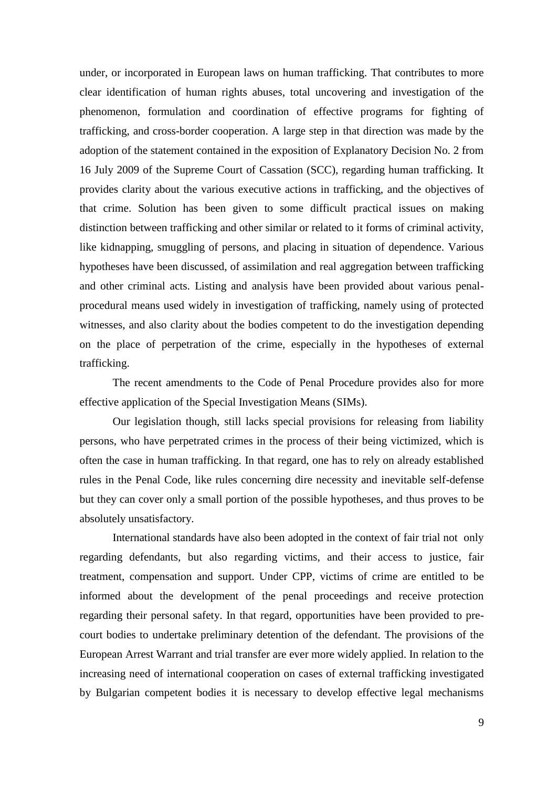under, or incorporated in European laws on human trafficking. That contributes to more clear identification of human rights abuses, total uncovering and investigation of the phenomenon, formulation and coordination of effective programs for fighting of trafficking, and cross-border cooperation. A large step in that direction was made by the adoption of the statement contained in the exposition of Explanatory Decision No. 2 from 16 July 2009 of the Supreme Court of Cassation (SCC), regarding human trafficking. It provides clarity about the various executive actions in trafficking, and the objectives of that crime. Solution has been given to some difficult practical issues on making distinction between trafficking and other similar or related to it forms of criminal activity, like kidnapping, smuggling of persons, and placing in situation of dependence. Various hypotheses have been discussed, of assimilation and real aggregation between trafficking and other criminal acts. Listing and analysis have been provided about various penalprocedural means used widely in investigation of trafficking, namely using of protected witnesses, and also clarity about the bodies competent to do the investigation depending on the place of perpetration of the crime, especially in the hypotheses of external trafficking.

The recent amendments to the Code of Penal Procedure provides also for more effective application of the Special Investigation Means (SIMs).

Our legislation though, still lacks special provisions for releasing from liability persons, who have perpetrated crimes in the process of their being victimized, which is often the case in human trafficking. In that regard, one has to rely on already established rules in the Penal Code, like rules concerning dire necessity and inevitable self-defense but they can cover only a small portion of the possible hypotheses, and thus proves to be absolutely unsatisfactory.

International standards have also been adopted in the context of fair trial not only regarding defendants, but also regarding victims, and their access to justice, fair treatment, compensation and support. Under CPP, victims of crime are entitled to be informed about the development of the penal proceedings and receive protection regarding their personal safety. In that regard, opportunities have been provided to precourt bodies to undertake preliminary detention of the defendant. The provisions of the European Arrest Warrant and trial transfer are ever more widely applied. In relation to the increasing need of international cooperation on cases of external trafficking investigated by Bulgarian competent bodies it is necessary to develop effective legal mechanisms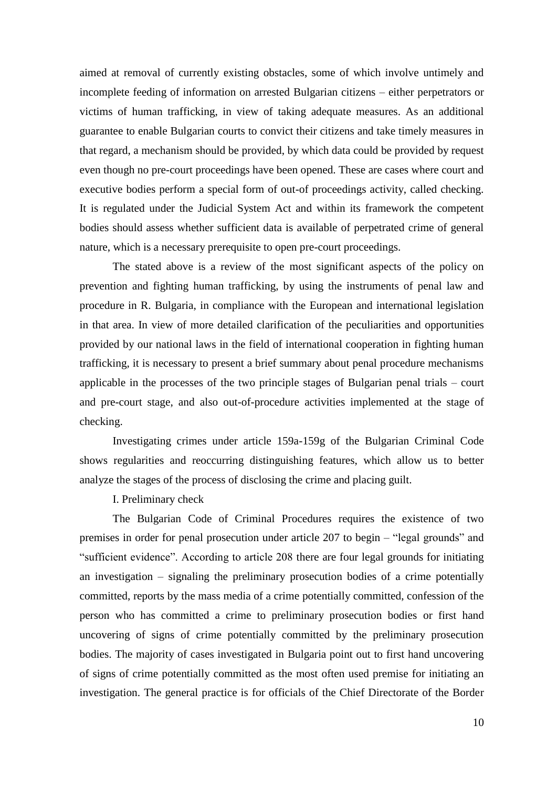aimed at removal of currently existing obstacles, some of which involve untimely and incomplete feeding of information on arrested Bulgarian citizens – either perpetrators or victims of human trafficking, in view of taking adequate measures. As an additional guarantee to enable Bulgarian courts to convict their citizens and take timely measures in that regard, a mechanism should be provided, by which data could be provided by request even though no pre-court proceedings have been opened. These are cases where court and executive bodies perform a special form of out-of proceedings activity, called checking. It is regulated under the Judicial System Act and within its framework the competent bodies should assess whether sufficient data is available of perpetrated crime of general nature, which is a necessary prerequisite to open pre-court proceedings.

The stated above is a review of the most significant aspects of the policy on prevention and fighting human trafficking, by using the instruments of penal law and procedure in R. Bulgaria, in compliance with the European and international legislation in that area. In view of more detailed clarification of the peculiarities and opportunities provided by our national laws in the field of international cooperation in fighting human trafficking, it is necessary to present a brief summary about penal procedure mechanisms applicable in the processes of the two principle stages of Bulgarian penal trials – court and pre-court stage, and also out-of-procedure activities implemented at the stage of checking.

Investigating crimes under article 159a-159g of the Bulgarian Criminal Code shows regularities and reoccurring distinguishing features, which allow us to better analyze the stages of the process of disclosing the crime and placing guilt.

I. Preliminary check

The Bulgarian Code of Criminal Procedures requires the existence of two premises in order for penal prosecution under article 207 to begin – "legal grounds" and "sufficient evidence". According to article 208 there are four legal grounds for initiating an investigation – signaling the preliminary prosecution bodies of a crime potentially committed, reports by the mass media of a crime potentially committed, confession of the person who has committed a crime to preliminary prosecution bodies or first hand uncovering of signs of crime potentially committed by the preliminary prosecution bodies. The majority of cases investigated in Bulgaria point out to first hand uncovering of signs of crime potentially committed as the most often used premise for initiating an investigation. The general practice is for officials of the Chief Directorate of the Border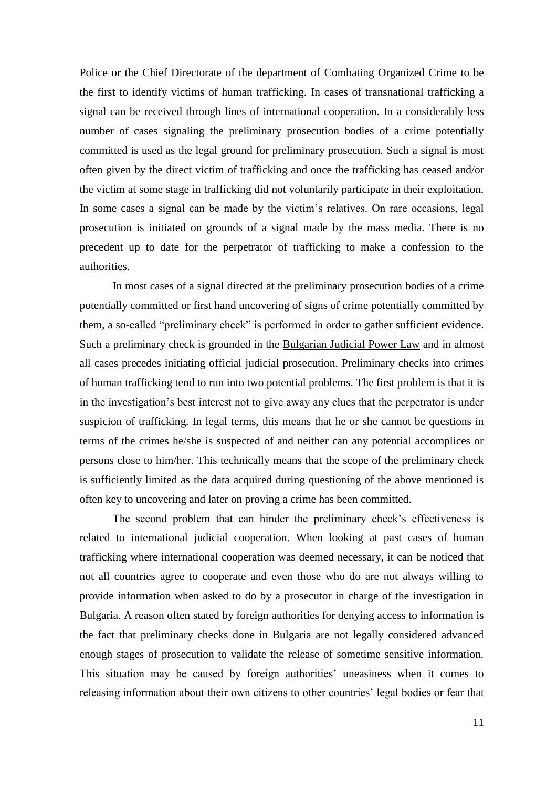Police or the Chief Directorate of the department of Combating Organized Crime to be the first to identify victims of human trafficking. In cases of transnational trafficking a signal can be received through lines of international cooperation. In a considerably less number of cases signaling the preliminary prosecution bodies of a crime potentially committed is used as the legal ground for preliminary prosecution. Such a signal is most often given by the direct victim of trafficking and once the trafficking has ceased and/or the victim at some stage in trafficking did not voluntarily participate in their exploitation. In some cases a signal can be made by the victim's relatives. On rare occasions, legal prosecution is initiated on grounds of a signal made by the mass media. There is no precedent up to date for the perpetrator of trafficking to make a confession to the authorities.

In most cases of a signal directed at the preliminary prosecution bodies of a crime potentially committed or first hand uncovering of signs of crime potentially committed by them, a so-called "preliminary check" is performed in order to gather sufficient evidence. Such a preliminary check is grounded in the Bulgarian Judicial Power Law and in almost all cases precedes initiating official judicial prosecution. Preliminary checks into crimes of human trafficking tend to run into two potential problems. The first problem is that it is in the investigation"s best interest not to give away any clues that the perpetrator is under suspicion of trafficking. In legal terms, this means that he or she cannot be questions in terms of the crimes he/she is suspected of and neither can any potential accomplices or persons close to him/her. This technically means that the scope of the preliminary check is sufficiently limited as the data acquired during questioning of the above mentioned is often key to uncovering and later on proving a crime has been committed.

The second problem that can hinder the preliminary check"s effectiveness is related to international judicial cooperation. When looking at past cases of human trafficking where international cooperation was deemed necessary, it can be noticed that not all countries agree to cooperate and even those who do are not always willing to provide information when asked to do by a prosecutor in charge of the investigation in Bulgaria. A reason often stated by foreign authorities for denying access to information is the fact that preliminary checks done in Bulgaria are not legally considered advanced enough stages of prosecution to validate the release of sometime sensitive information. This situation may be caused by foreign authorities' uneasiness when it comes to releasing information about their own citizens to other countries" legal bodies or fear that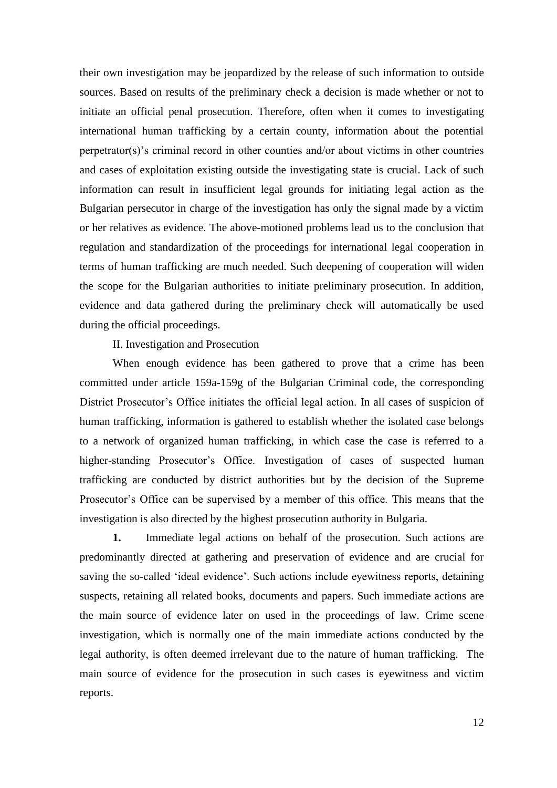their own investigation may be jeopardized by the release of such information to outside sources. Based on results of the preliminary check a decision is made whether or not to initiate an official penal prosecution. Therefore, often when it comes to investigating international human trafficking by a certain county, information about the potential perpetrator(s)"s criminal record in other counties and/or about victims in other countries and cases of exploitation existing outside the investigating state is crucial. Lack of such information can result in insufficient legal grounds for initiating legal action as the Bulgarian persecutor in charge of the investigation has only the signal made by a victim or her relatives as evidence. The above-motioned problems lead us to the conclusion that regulation and standardization of the proceedings for international legal cooperation in terms of human trafficking are much needed. Such deepening of cooperation will widen the scope for the Bulgarian authorities to initiate preliminary prosecution. In addition, evidence and data gathered during the preliminary check will automatically be used during the official proceedings.

## II. Investigation and Prosecution

When enough evidence has been gathered to prove that a crime has been committed under article 159a-159g of the Bulgarian Criminal code, the corresponding District Prosecutor's Office initiates the official legal action. In all cases of suspicion of human trafficking, information is gathered to establish whether the isolated case belongs to a network of organized human trafficking, in which case the case is referred to a higher-standing Prosecutor's Office. Investigation of cases of suspected human trafficking are conducted by district authorities but by the decision of the Supreme Prosecutor"s Office can be supervised by a member of this office. This means that the investigation is also directed by the highest prosecution authority in Bulgaria.

**1.** Immediate legal actions on behalf of the prosecution. Such actions are predominantly directed at gathering and preservation of evidence and are crucial for saving the so-called 'ideal evidence'. Such actions include eyewitness reports, detaining suspects, retaining all related books, documents and papers. Such immediate actions are the main source of evidence later on used in the proceedings of law. Crime scene investigation, which is normally one of the main immediate actions conducted by the legal authority, is often deemed irrelevant due to the nature of human trafficking. The main source of evidence for the prosecution in such cases is eyewitness and victim reports.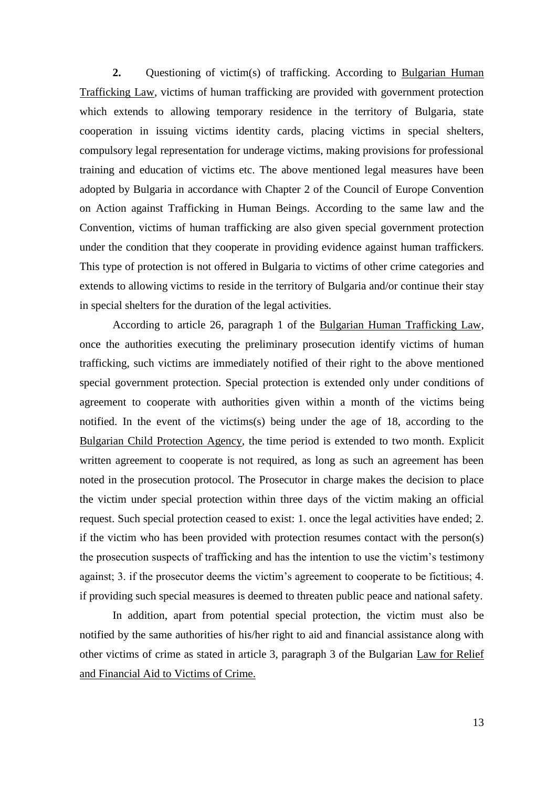**2.** Questioning of victim(s) of trafficking. According to Bulgarian Human Trafficking Law, victims of human trafficking are provided with government protection which extends to allowing temporary residence in the territory of Bulgaria, state cooperation in issuing victims identity cards, placing victims in special shelters, compulsory legal representation for underage victims, making provisions for professional training and education of victims etc. The above mentioned legal measures have been adopted by Bulgaria in accordance with Chapter 2 of the Council of Europe Convention on Action against Trafficking in Human Beings. According to the same law and the Convention, victims of human trafficking are also given special government protection under the condition that they cooperate in providing evidence against human traffickers. This type of protection is not offered in Bulgaria to victims of other crime categories and extends to allowing victims to reside in the territory of Bulgaria and/or continue their stay in special shelters for the duration of the legal activities.

According to article 26, paragraph 1 of the Bulgarian Human Trafficking Law, once the authorities executing the preliminary prosecution identify victims of human trafficking, such victims are immediately notified of their right to the above mentioned special government protection. Special protection is extended only under conditions of agreement to cooperate with authorities given within a month of the victims being notified. In the event of the victims(s) being under the age of 18, according to the Bulgarian Child Protection Agency, the time period is extended to two month. Explicit written agreement to cooperate is not required, as long as such an agreement has been noted in the prosecution protocol. The Prosecutor in charge makes the decision to place the victim under special protection within three days of the victim making an official request. Such special protection ceased to exist: 1. once the legal activities have ended; 2. if the victim who has been provided with protection resumes contact with the person(s) the prosecution suspects of trafficking and has the intention to use the victim"s testimony against; 3. if the prosecutor deems the victim"s agreement to cooperate to be fictitious; 4. if providing such special measures is deemed to threaten public peace and national safety.

In addition, apart from potential special protection, the victim must also be notified by the same authorities of his/her right to aid and financial assistance along with other victims of crime as stated in article 3, paragraph 3 of the Bulgarian Law for Relief and Financial Aid to Victims of Crime.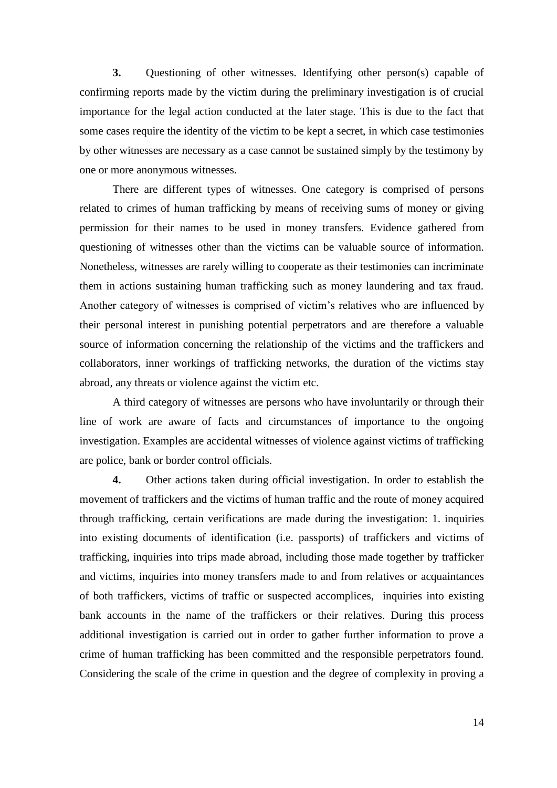**3.** Questioning of other witnesses. Identifying other person(s) capable of confirming reports made by the victim during the preliminary investigation is of crucial importance for the legal action conducted at the later stage. This is due to the fact that some cases require the identity of the victim to be kept a secret, in which case testimonies by other witnesses are necessary as a case cannot be sustained simply by the testimony by one or more anonymous witnesses.

There are different types of witnesses. One category is comprised of persons related to crimes of human trafficking by means of receiving sums of money or giving permission for their names to be used in money transfers. Evidence gathered from questioning of witnesses other than the victims can be valuable source of information. Nonetheless, witnesses are rarely willing to cooperate as their testimonies can incriminate them in actions sustaining human trafficking such as money laundering and tax fraud. Another category of witnesses is comprised of victim"s relatives who are influenced by their personal interest in punishing potential perpetrators and are therefore a valuable source of information concerning the relationship of the victims and the traffickers and collaborators, inner workings of trafficking networks, the duration of the victims stay abroad, any threats or violence against the victim etc.

A third category of witnesses are persons who have involuntarily or through their line of work are aware of facts and circumstances of importance to the ongoing investigation. Examples are accidental witnesses of violence against victims of trafficking are police, bank or border control officials.

**4.** Other actions taken during official investigation. In order to establish the movement of traffickers and the victims of human traffic and the route of money acquired through trafficking, certain verifications are made during the investigation: 1. inquiries into existing documents of identification (i.e. passports) of traffickers and victims of trafficking, inquiries into trips made abroad, including those made together by trafficker and victims, inquiries into money transfers made to and from relatives or acquaintances of both traffickers, victims of traffic or suspected accomplices, inquiries into existing bank accounts in the name of the traffickers or their relatives. During this process additional investigation is carried out in order to gather further information to prove a crime of human trafficking has been committed and the responsible perpetrators found. Considering the scale of the crime in question and the degree of complexity in proving a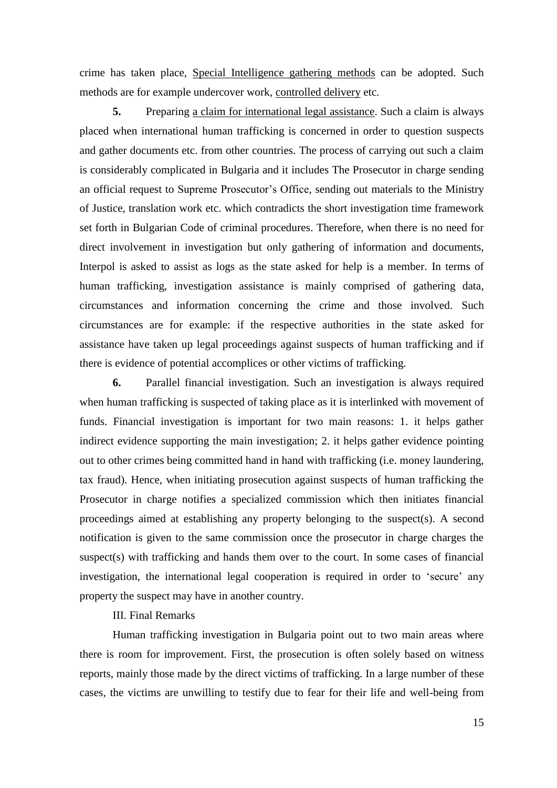crime has taken place, Special Intelligence gathering methods can be adopted. Such methods are for example undercover work, controlled delivery etc.

**5.** Preparing a claim for international legal assistance. Such a claim is always placed when international human trafficking is concerned in order to question suspects and gather documents etc. from other countries. The process of carrying out such a claim is considerably complicated in Bulgaria and it includes The Prosecutor in charge sending an official request to Supreme Prosecutor's Office, sending out materials to the Ministry of Justice, translation work etc. which contradicts the short investigation time framework set forth in Bulgarian Code of criminal procedures. Therefore, when there is no need for direct involvement in investigation but only gathering of information and documents, Interpol is asked to assist as logs as the state asked for help is a member. In terms of human trafficking, investigation assistance is mainly comprised of gathering data, circumstances and information concerning the crime and those involved. Such circumstances are for example: if the respective authorities in the state asked for assistance have taken up legal proceedings against suspects of human trafficking and if there is evidence of potential accomplices or other victims of trafficking.

**6.** Parallel financial investigation. Such an investigation is always required when human trafficking is suspected of taking place as it is interlinked with movement of funds. Financial investigation is important for two main reasons: 1. it helps gather indirect evidence supporting the main investigation; 2. it helps gather evidence pointing out to other crimes being committed hand in hand with trafficking (i.e. money laundering, tax fraud). Hence, when initiating prosecution against suspects of human trafficking the Prosecutor in charge notifies a specialized commission which then initiates financial proceedings aimed at establishing any property belonging to the suspect(s). A second notification is given to the same commission once the prosecutor in charge charges the suspect(s) with trafficking and hands them over to the court. In some cases of financial investigation, the international legal cooperation is required in order to 'secure' any property the suspect may have in another country.

## III. Final Remarks

Human trafficking investigation in Bulgaria point out to two main areas where there is room for improvement. First, the prosecution is often solely based on witness reports, mainly those made by the direct victims of trafficking. In a large number of these cases, the victims are unwilling to testify due to fear for their life and well-being from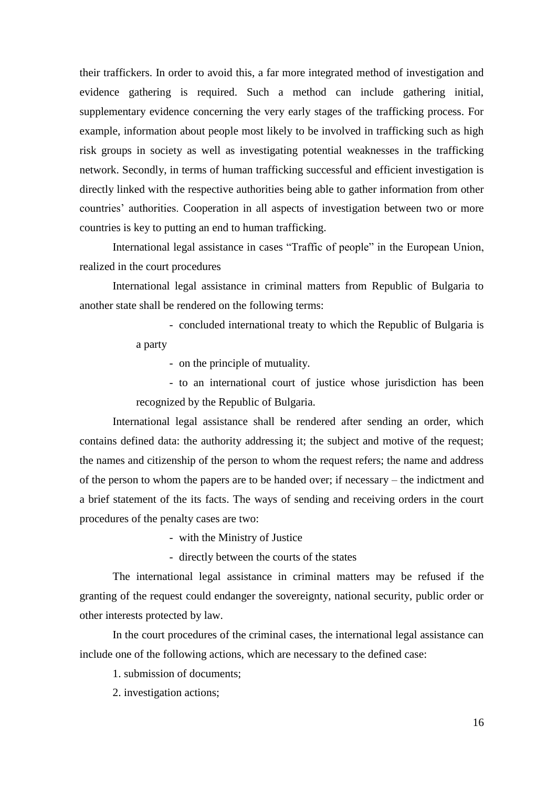their traffickers. In order to avoid this, a far more integrated method of investigation and evidence gathering is required. Such a method can include gathering initial, supplementary evidence concerning the very early stages of the trafficking process. For example, information about people most likely to be involved in trafficking such as high risk groups in society as well as investigating potential weaknesses in the trafficking network. Secondly, in terms of human trafficking successful and efficient investigation is directly linked with the respective authorities being able to gather information from other countries' authorities. Cooperation in all aspects of investigation between two or more countries is key to putting an end to human trafficking.

International legal assistance in cases "Traffic of people" in the European Union, realized in the court procedures

International legal assistance in criminal matters from Republic of Bulgaria to another state shall be rendered on the following terms:

> - concluded international treaty to which the Republic of Bulgaria is a party

- on the principle of mutuality.

- to an international court of justice whose jurisdiction has been recognized by the Republic of Bulgaria.

International legal assistance shall be rendered after sending an order, which contains defined data: the authority addressing it; the subject and motive of the request; the names and citizenship of the person to whom the request refers; the name and address of the person to whom the papers are to be handed over; if necessary – the indictment and a brief statement of the its facts. The ways of sending and receiving orders in the court procedures of the penalty cases are two:

- with the Ministry of Justice

- directly between the courts of the states

The international legal assistance in criminal matters may be refused if the granting of the request could endanger the sovereignty, national security, public order or other interests protected by law.

In the court procedures of the criminal cases, the international legal assistance can include one of the following actions, which are necessary to the defined case:

1. submission of documents;

2. investigation actions;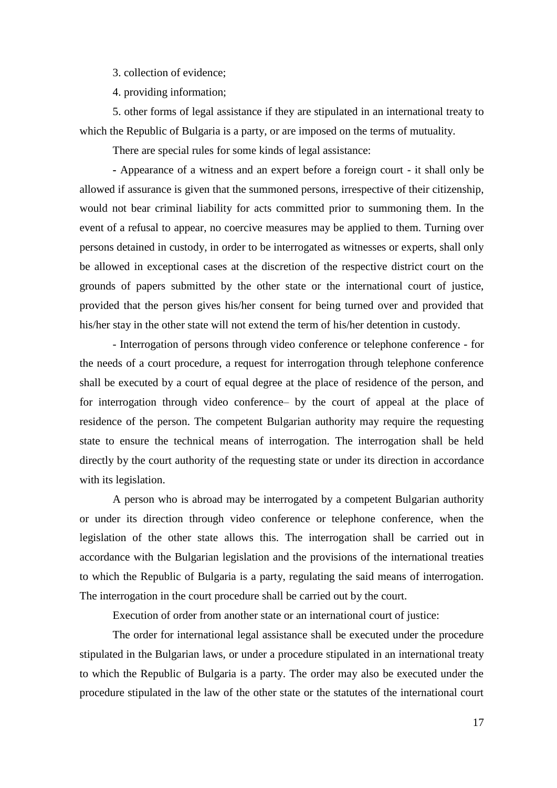3. collection of evidence;

4. providing information;

5. other forms of legal assistance if they are stipulated in an international treaty to which the Republic of Bulgaria is a party, or are imposed on the terms of mutuality.

There are special rules for some kinds of legal assistance:

**-** Appearance of a witness and an expert before a foreign court - it shall only be allowed if assurance is given that the summoned persons, irrespective of their citizenship, would not bear criminal liability for acts committed prior to summoning them. In the event of a refusal to appear, no coercive measures may be applied to them. Turning over persons detained in custody, in order to be interrogated as witnesses or experts, shall only be allowed in exceptional cases at the discretion of the respective district court on the grounds of papers submitted by the other state or the international court of justice, provided that the person gives his/her consent for being turned over and provided that his/her stay in the other state will not extend the term of his/her detention in custody.

- Interrogation of persons through video conference or telephone conference - for the needs of a court procedure, a request for interrogation through telephone conference shall be executed by a court of equal degree at the place of residence of the person, and for interrogation through video conference– by the court of appeal at the place of residence of the person. The competent Bulgarian authority may require the requesting state to ensure the technical means of interrogation. The interrogation shall be held directly by the court authority of the requesting state or under its direction in accordance with its legislation.

A person who is abroad may be interrogated by a competent Bulgarian authority or under its direction through video conference or telephone conference, when the legislation of the other state allows this. The interrogation shall be carried out in accordance with the Bulgarian legislation and the provisions of the international treaties to which the Republic of Bulgaria is a party, regulating the said means of interrogation. The interrogation in the court procedure shall be carried out by the court.

Execution of order from another state or an international court of justice:

The order for international legal assistance shall be executed under the procedure stipulated in the Bulgarian laws, or under a procedure stipulated in an international treaty to which the Republic of Bulgaria is a party. The order may also be executed under the procedure stipulated in the law of the other state or the statutes of the international court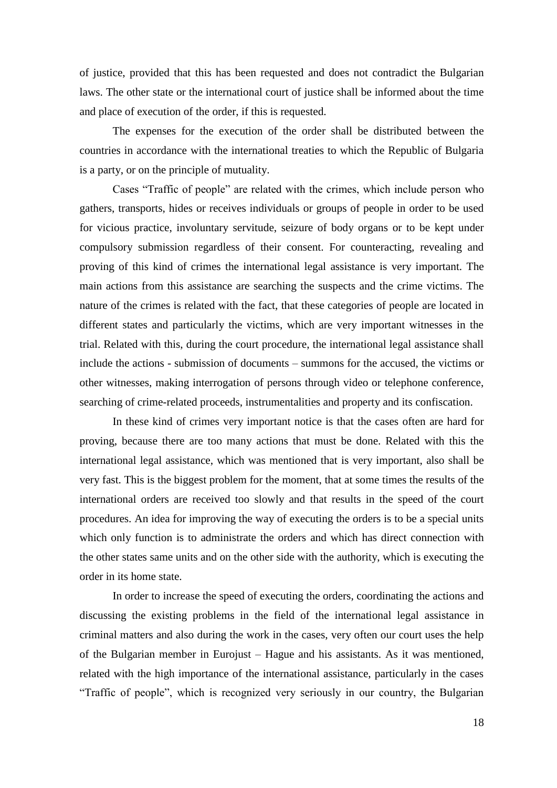of justice, provided that this has been requested and does not contradict the Bulgarian laws. The other state or the international court of justice shall be informed about the time and place of execution of the order, if this is requested.

The expenses for the execution of the order shall be distributed between the countries in accordance with the international treaties to which the Republic of Bulgaria is a party, or on the principle of mutuality.

Cases "Traffic of people" are related with the crimes, which include person who gathers, transports, hides or receives individuals or groups of people in order to be used for vicious practice, involuntary servitude, seizure of body organs or to be kept under compulsory submission regardless of their consent. For counteracting, revealing and proving of this kind of crimes the international legal assistance is very important. The main actions from this assistance are searching the suspects and the crime victims. The nature of the crimes is related with the fact, that these categories of people are located in different states and particularly the victims, which are very important witnesses in the trial. Related with this, during the court procedure, the international legal assistance shall include the actions - submission of documents – summons for the accused, the victims or other witnesses, making interrogation of persons through video or telephone conference, searching of crime-related proceeds, instrumentalities and property and its confiscation.

In these kind of crimes very important notice is that the cases often are hard for proving, because there are too many actions that must be done. Related with this the international legal assistance, which was mentioned that is very important, also shall be very fast. This is the biggest problem for the moment, that at some times the results of the international orders are received too slowly and that results in the speed of the court procedures. An idea for improving the way of executing the orders is to be a special units which only function is to administrate the orders and which has direct connection with the other states same units and on the other side with the authority, which is executing the order in its home state.

In order to increase the speed of executing the orders, coordinating the actions and discussing the existing problems in the field of the international legal assistance in criminal matters and also during the work in the cases, very often our court uses the help of the Bulgarian member in Eurojust – Hague and his assistants. As it was mentioned, related with the high importance of the international assistance, particularly in the cases "Traffic of people", which is recognized very seriously in our country, the Bulgarian